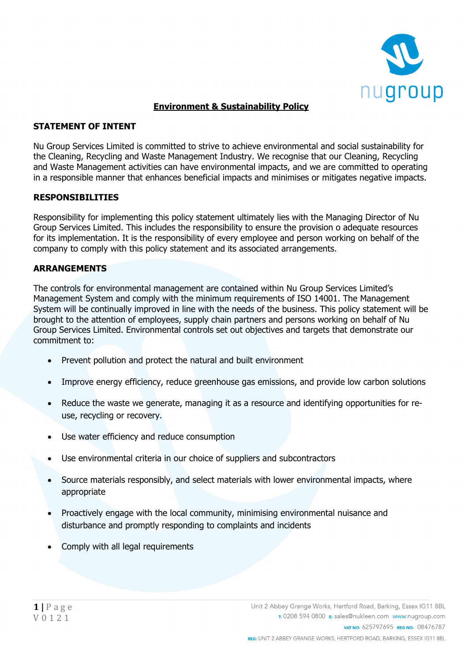

# **Environment & Sustainability Policy**

# **STATEMENT OF INTENT**

Nu Group Services Limited is committed to strive to achieve environmental and social sustainability for the Cleaning, Recycling and Waste Management Industry. We recognise that our Cleaning, Recycling and Waste Management activities can have environmental impacts, and we are committed to operating in a responsible manner that enhances beneficial impacts and minimises or mitigates negative impacts.

### **RESPONSIBILITIES**

Responsibility for implementing this policy statement ultimately lies with the Managing Director of Nu Group Services Limited. This includes the responsibility to ensure the provision o adequate resources for its implementation. It is the responsibility of every employee and person working on behalf of the company to comply with this policy statement and its associated arrangements.

### **ARRANGEMENTS**

The controls for environmental management are contained within Nu Group Services Limited's Management System and comply with the minimum requirements of ISO 14001. The Management System will be continually improved in line with the needs of the business. This policy statement will be brought to the attention of employees, supply chain partners and persons working on behalf of Nu Group Services Limited. Environmental controls set out objectives and targets that demonstrate our commitment to:

- Prevent pollution and protect the natural and built environment
- Improve energy efficiency, reduce greenhouse gas emissions, and provide low carbon solutions
- Reduce the waste we generate, managing it as a resource and identifying opportunities for reuse, recycling or recovery.
- Use water efficiency and reduce consumption
- Use environmental criteria in our choice of suppliers and subcontractors
- Source materials responsibly, and select materials with lower environmental impacts, where appropriate
- Proactively engage with the local community, minimising environmental nuisance and disturbance and promptly responding to complaints and incidents
- Comply with all legal requirements